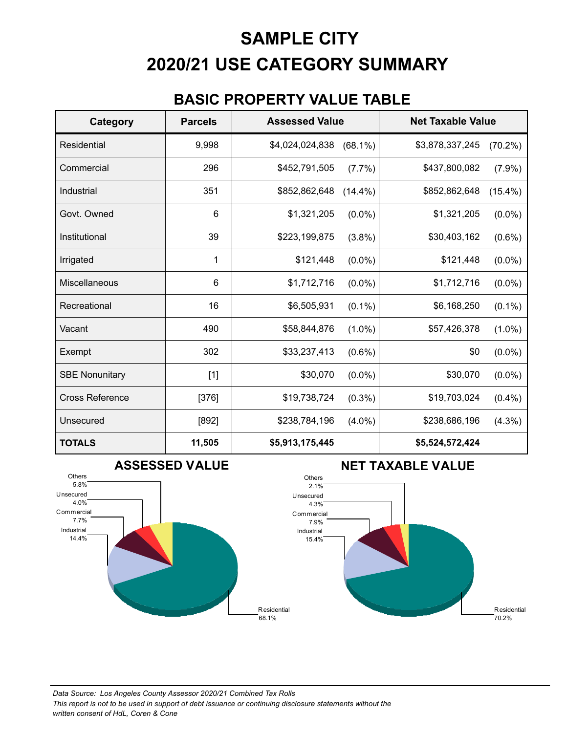# **2020/21 USE CATEGORY SUMMARY SAMPLE CITY**

#### **BASIC PROPERTY VALUE TABLE**

| <b>Category</b>        | <b>Parcels</b> | <b>Assessed Value</b> |            | <b>Net Taxable Value</b> |            |
|------------------------|----------------|-----------------------|------------|--------------------------|------------|
| <b>Residential</b>     | 9,998          | \$4,024,024,838       | $(68.1\%)$ | \$3,878,337,245          | $(70.2\%)$ |
| Commercial             | 296            | \$452,791,505         | $(7.7\%)$  | \$437,800,082            | $(7.9\%)$  |
| Industrial             | 351            | \$852,862,648         | $(14.4\%)$ | \$852,862,648            | $(15.4\%)$ |
| Govt. Owned            | 6              | \$1,321,205           | $(0.0\%)$  | \$1,321,205              | $(0.0\%)$  |
| Institutional          | 39             | \$223,199,875         | $(3.8\%)$  | \$30,403,162             | $(0.6\%)$  |
| Irrigated              | 1              | \$121,448             | $(0.0\%)$  | \$121,448                | $(0.0\%)$  |
| Miscellaneous          | 6              | \$1,712,716           | $(0.0\%)$  | \$1,712,716              | $(0.0\%)$  |
| Recreational           | 16             | \$6,505,931           | $(0.1\%)$  | \$6,168,250              | $(0.1\%)$  |
| Vacant                 | 490            | \$58,844,876          | $(1.0\%)$  | \$57,426,378             | $(1.0\%)$  |
| Exempt                 | 302            | \$33,237,413          | $(0.6\%)$  | \$0                      | $(0.0\%)$  |
| <b>SBE Nonunitary</b>  | $[1]$          | \$30,070              | $(0.0\%)$  | \$30,070                 | $(0.0\%)$  |
| <b>Cross Reference</b> | $[376]$        | \$19,738,724          | $(0.3\%)$  | \$19,703,024             | $(0.4\%)$  |
| Unsecured              | $[892]$        | \$238,784,196         | $(4.0\%)$  | \$238,686,196            | $(4.3\%)$  |
| <b>TOTALS</b>          | 11,505         | \$5,913,175,445       |            | \$5,524,572,424          |            |



#### **NET TAXABLE VALUE**



68.1%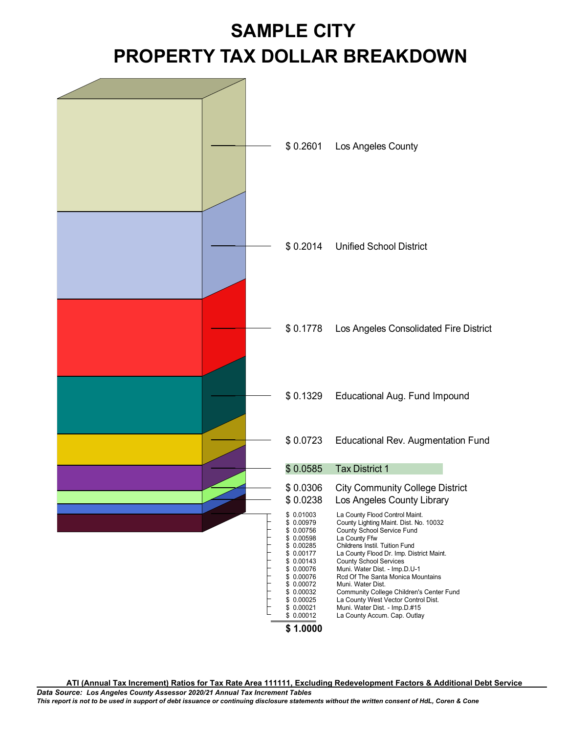# **PROPERTY TAX DOLLAR BREAKDOWN SAMPLE CITY**



**ATI (Annual Tax Increment) Ratios for Tax Rate Area 111111, Excluding Redevelopment Factors & Additional Debt Service**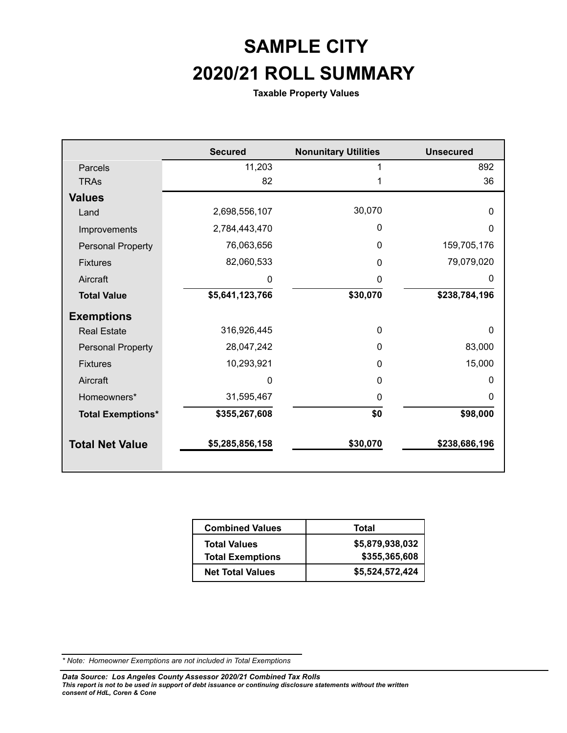# **2020/21 ROLL SUMMARY SAMPLE CITY**

**Taxable Property Values**

|                          | <b>Secured</b>  | <b>Nonunitary Utilities</b> | <b>Unsecured</b> |
|--------------------------|-----------------|-----------------------------|------------------|
| Parcels                  | 11,203          |                             | 892              |
| <b>TRAs</b>              | 82              |                             | 36               |
| <b>Values</b>            |                 |                             |                  |
| Land                     | 2,698,556,107   | 30,070                      | $\mathbf{0}$     |
| Improvements             | 2,784,443,470   | 0                           | $\mathbf{0}$     |
| <b>Personal Property</b> | 76,063,656      | $\Omega$                    | 159,705,176      |
| <b>Fixtures</b>          | 82,060,533      | $\Omega$                    | 79,079,020       |
| Aircraft                 | O               | 0                           | $\Omega$         |
| <b>Total Value</b>       | \$5,641,123,766 | \$30,070                    | \$238,784,196    |
| <b>Exemptions</b>        |                 |                             |                  |
| <b>Real Estate</b>       | 316,926,445     | $\Omega$                    | $\mathbf{0}$     |
| <b>Personal Property</b> | 28,047,242      | $\mathbf{0}$                | 83,000           |
| <b>Fixtures</b>          | 10,293,921      | $\Omega$                    | 15,000           |
| Aircraft                 | 0               | $\Omega$                    | 0                |
| Homeowners*              | 31,595,467      | $\Omega$                    | 0                |
| <b>Total Exemptions*</b> | \$355,267,608   | \$0                         | \$98,000         |
| <b>Total Net Value</b>   | \$5,285,856,158 | \$30,070                    | \$238,686,196    |

| <b>Combined Values</b>  | Total           |
|-------------------------|-----------------|
| <b>Total Values</b>     | \$5,879,938,032 |
| <b>Total Exemptions</b> | \$355,365,608   |
| <b>Net Total Values</b> | \$5,524,572,424 |

*<sup>\*</sup> Note: Homeowner Exemptions are not included in Total Exemptions*

*This report is not to be used in support of debt issuance or continuing disclosure statements without the written consent of HdL, Coren & Cone Data Source: Los Angeles County Assessor 2020/21 Combined Tax Rolls*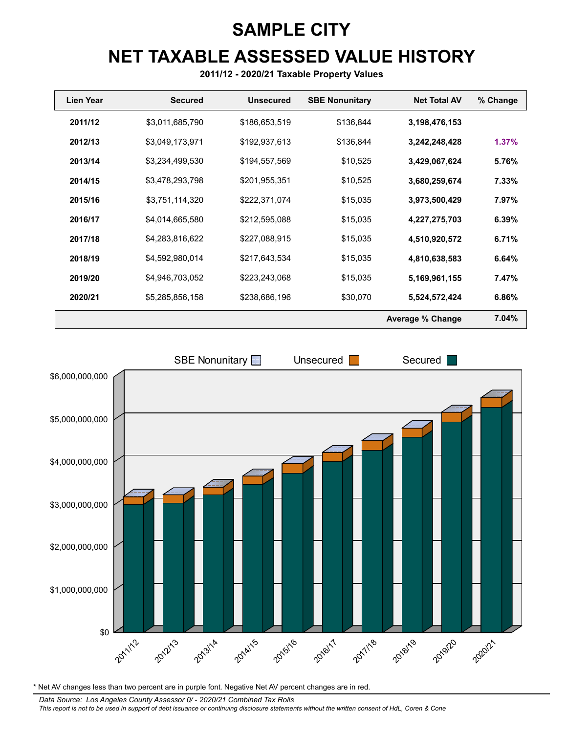# **NET TAXABLE ASSESSED VALUE HISTORY SAMPLE CITY**

**2011/12 - 2020/21 Taxable Property Values**

| Lien Year | <b>Secured</b>  | <b>Unsecured</b> | <b>SBE Nonunitary</b> | <b>Net Total AV</b>     | % Change |
|-----------|-----------------|------------------|-----------------------|-------------------------|----------|
| 2011/12   | \$3,011,685,790 | \$186,653,519    | \$136,844             | 3,198,476,153           |          |
| 2012/13   | \$3,049,173,971 | \$192,937,613    | \$136,844             | 3,242,248,428           | 1.37%    |
| 2013/14   | \$3,234,499,530 | \$194,557,569    | \$10,525              | 3,429,067,624           | 5.76%    |
| 2014/15   | \$3,478,293,798 | \$201,955,351    | \$10,525              | 3,680,259,674           | 7.33%    |
| 2015/16   | \$3,751,114,320 | \$222,371,074    | \$15,035              | 3,973,500,429           | 7.97%    |
| 2016/17   | \$4,014,665,580 | \$212,595,088    | \$15,035              | 4,227,275,703           | 6.39%    |
| 2017/18   | \$4,283,816,622 | \$227,088,915    | \$15,035              | 4,510,920,572           | 6.71%    |
| 2018/19   | \$4,592,980,014 | \$217,643,534    | \$15,035              | 4,810,638,583           | 6.64%    |
| 2019/20   | \$4,946,703,052 | \$223,243,068    | \$15,035              | 5,169,961,155           | 7.47%    |
| 2020/21   | \$5,285,856,158 | \$238,686,196    | \$30,070              | 5,524,572,424           | 6.86%    |
|           |                 |                  |                       | <b>Average % Change</b> | 7.04%    |



\* Net AV changes less than two percent are in purple font. Negative Net AV percent changes are in red.

*This report is not to be used in support of debt issuance or continuing disclosure statements without the written consent of HdL, Coren & Cone Data Source: Los Angeles County Assessor 0/ - 2020/21 Combined Tax Rolls*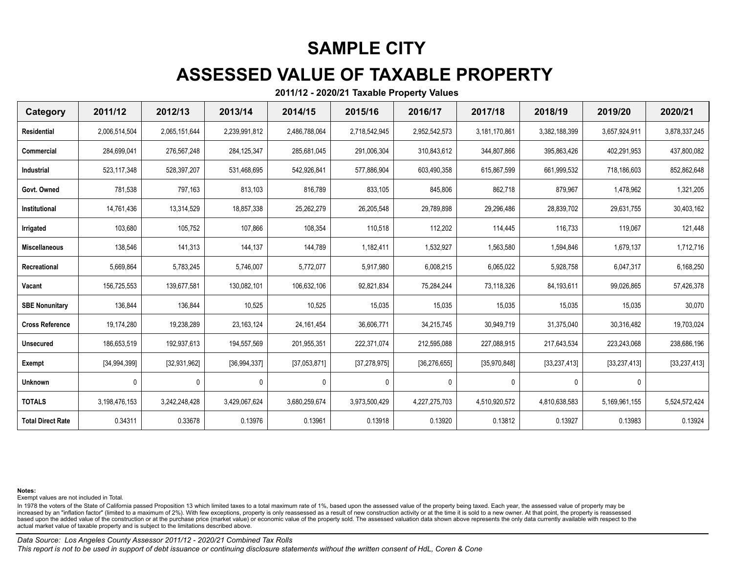## **ASSESSED VALUE OF TAXABLE PROPERTY**

**2011/12 - 2020/21 Taxable Property Values**

| Category                 | 2011/12        | 2012/13        | 2013/14        | 2014/15       | 2015/16        | 2016/17        | 2017/18        | 2018/19        | 2019/20        | 2020/21        |
|--------------------------|----------------|----------------|----------------|---------------|----------------|----------------|----------------|----------------|----------------|----------------|
| Residential              | 2,006,514,504  | 2,065,151,644  | 2,239,991,812  | 2,486,788,064 | 2,718,542,945  | 2,952,542,573  | 3.181.170.861  | 3,382,188,399  | 3,657,924,911  | 3,878,337,245  |
| Commercial               | 284,699,041    | 276,567,248    | 284, 125, 347  | 285,681,045   | 291,006,304    | 310,843,612    | 344,807,866    | 395,863,426    | 402,291,953    | 437,800,082    |
| Industrial               | 523, 117, 348  | 528,397,207    | 531,468,695    | 542,926,841   | 577,886,904    | 603,490,358    | 615,867,599    | 661,999,532    | 718,186,603    | 852,862,648    |
| Govt. Owned              | 781,538        | 797,163        | 813,103        | 816,789       | 833,105        | 845,806        | 862,718        | 879,967        | 1,478,962      | 1,321,205      |
| Institutional            | 14,761,436     | 13,314,529     | 18,857,338     | 25,262,279    | 26,205,548     | 29,789,898     | 29,296,486     | 28,839,702     | 29,631,755     | 30,403,162     |
| Irrigated                | 103,680        | 105,752        | 107,866        | 108,354       | 110,518        | 112,202        | 114,445        | 116,733        | 119,067        | 121,448        |
| <b>Miscellaneous</b>     | 138,546        | 141,313        | 144,137        | 144,789       | 1,182,411      | 1,532,927      | 1,563,580      | 1,594,846      | 1,679,137      | 1,712,716      |
| Recreational             | 5,669,864      | 5,783,245      | 5,746,007      | 5,772,077     | 5,917,980      | 6,008,215      | 6,065,022      | 5,928,758      | 6,047,317      | 6,168,250      |
| Vacant                   | 156,725,553    | 139,677,581    | 130,082,101    | 106,632,106   | 92,821,834     | 75,284,244     | 73,118,326     | 84,193,611     | 99,026,865     | 57,426,378     |
| <b>SBE Nonunitary</b>    | 136,844        | 136,844        | 10,525         | 10,525        | 15,035         | 15,035         | 15,035         | 15,035         | 15,035         | 30,070         |
| <b>Cross Reference</b>   | 19,174,280     | 19,238,289     | 23, 163, 124   | 24, 161, 454  | 36,606,771     | 34,215,745     | 30,949,719     | 31,375,040     | 30,316,482     | 19,703,024     |
| <b>Unsecured</b>         | 186,653,519    | 192,937,613    | 194,557,569    | 201,955,351   | 222,371,074    | 212,595,088    | 227,088,915    | 217,643,534    | 223,243,068    | 238,686,196    |
| Exempt                   | [34, 994, 399] | [32, 931, 962] | [36, 994, 337] | [37,053,871]  | [37, 278, 975] | [36, 276, 655] | [35, 970, 848] | [33, 237, 413] | [33, 237, 413] | [33, 237, 413] |
| <b>Unknown</b>           | 0              | 0              | 0              | 0             | 0              | 0              | $\Omega$       | 0              | 0              |                |
| <b>TOTALS</b>            | 3,198,476,153  | 3,242,248,428  | 3,429,067,624  | 3,680,259,674 | 3,973,500,429  | 4,227,275,703  | 4,510,920,572  | 4,810,638,583  | 5,169,961,155  | 5,524,572,424  |
| <b>Total Direct Rate</b> | 0.34311        | 0.33678        | 0.13976        | 0.13961       | 0.13918        | 0.13920        | 0.13812        | 0.13927        | 0.13983        | 0.13924        |

**Notes:**

Exempt values are not included in Total.

In 1978 the voters of the State of California passed Proposition 13 which limited taxes to a total maximum rate of 1%, based upon the assessed value of the property being taxed. Each year, the assessed value of property ma increased by an "inflation factor" (limited to a maximum of 2%). With few exceptions, property is only reassessed as a result of new construction activity or at the time it is sold to a new owner. At that point, the proper based upon the added value of the construction or at the purchase price (market value) or economic value of the property sold. The assessed valuation data shown above represents the only data currently available with respe actual market value of taxable property and is subject to the limitations described above.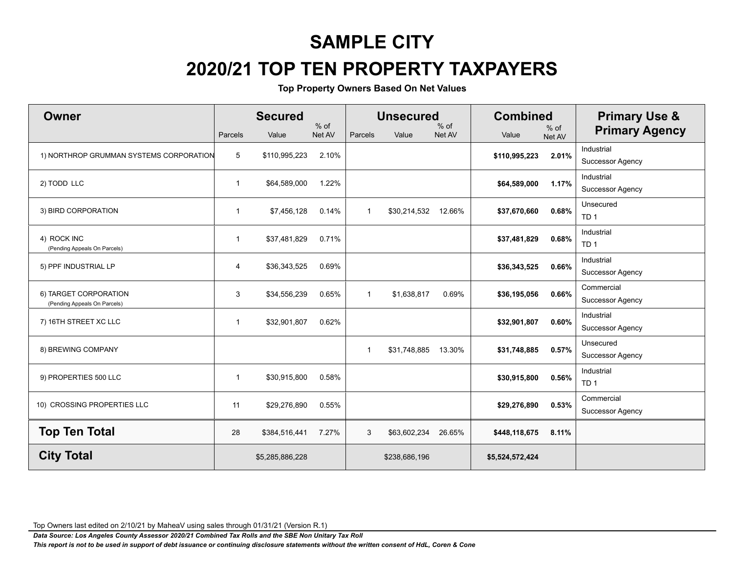# **2020/21 TOP TEN PROPERTY TAXPAYERS**

**Top Property Owners Based On Net Values**

| Owner                                                 | Parcels        | <b>Secured</b><br>Value | $%$ of<br>Net AV | Parcels        | <b>Unsecured</b><br>Value | $%$ of<br>Net AV | <b>Combined</b><br>Value | $%$ of<br>Net AV | <b>Primary Use &amp;</b><br><b>Primary Agency</b> |
|-------------------------------------------------------|----------------|-------------------------|------------------|----------------|---------------------------|------------------|--------------------------|------------------|---------------------------------------------------|
| 1) NORTHROP GRUMMAN SYSTEMS CORPORATION               | 5              | \$110,995,223           | 2.10%            |                |                           |                  | \$110,995,223            | 2.01%            | Industrial<br><b>Successor Agency</b>             |
| 2) TODD LLC                                           | $\overline{1}$ | \$64,589,000            | 1.22%            |                |                           |                  | \$64,589,000             | 1.17%            | Industrial<br><b>Successor Agency</b>             |
| 3) BIRD CORPORATION                                   | $\mathbf{1}$   | \$7,456,128             | 0.14%            | $\overline{1}$ | \$30,214,532 12.66%       |                  | \$37,670,660             | 0.68%            | Unsecured<br>TD <sub>1</sub>                      |
| 4) ROCK INC<br>(Pending Appeals On Parcels)           | $\overline{1}$ | \$37,481,829            | 0.71%            |                |                           |                  | \$37,481,829             | 0.68%            | Industrial<br>TD <sub>1</sub>                     |
| 5) PPF INDUSTRIAL LP                                  | 4              | \$36,343,525            | 0.69%            |                |                           |                  | \$36,343,525             | 0.66%            | Industrial<br><b>Successor Agency</b>             |
| 6) TARGET CORPORATION<br>(Pending Appeals On Parcels) | 3              | \$34,556,239            | 0.65%            | $\mathbf{1}$   | \$1,638,817               | 0.69%            | \$36,195,056             | 0.66%            | Commercial<br><b>Successor Agency</b>             |
| 7) 16TH STREET XC LLC                                 | $\overline{1}$ | \$32,901,807            | 0.62%            |                |                           |                  | \$32,901,807             | 0.60%            | Industrial<br><b>Successor Agency</b>             |
| 8) BREWING COMPANY                                    |                |                         |                  | -1             | \$31,748,885              | 13.30%           | \$31,748,885             | 0.57%            | Unsecured<br><b>Successor Agency</b>              |
| 9) PROPERTIES 500 LLC                                 | $\mathbf{1}$   | \$30,915,800            | 0.58%            |                |                           |                  | \$30,915,800             | 0.56%            | Industrial<br>TD <sub>1</sub>                     |
| 10) CROSSING PROPERTIES LLC                           | 11             | \$29,276,890            | 0.55%            |                |                           |                  | \$29,276,890             | 0.53%            | Commercial<br><b>Successor Agency</b>             |
| <b>Top Ten Total</b>                                  | 28             | \$384,516,441           | 7.27%            | 3              | \$63,602,234              | 26.65%           | \$448,118,675            | 8.11%            |                                                   |
| <b>City Total</b>                                     |                | \$5,285,886,228         |                  |                | \$238,686,196             |                  | \$5,524,572,424          |                  |                                                   |

Top Owners last edited on 2/10/21 by MaheaV using sales through 01/31/21 (Version R.1)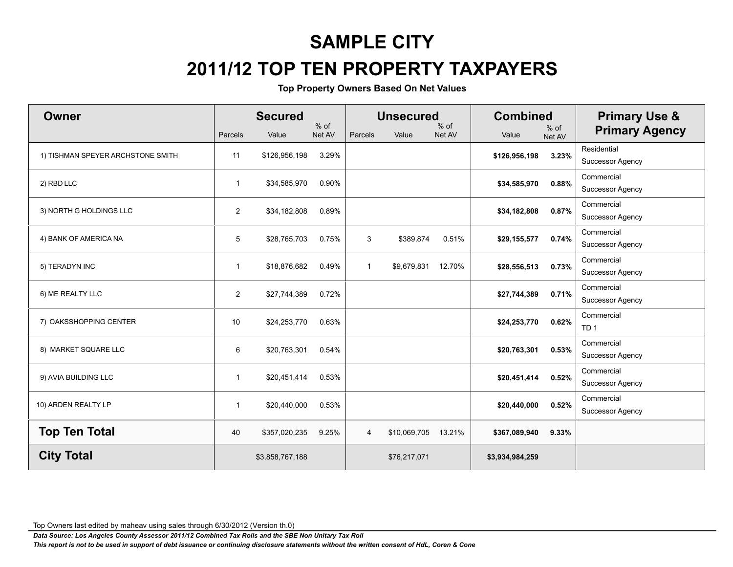# **2011/12 TOP TEN PROPERTY TAXPAYERS**

**Top Property Owners Based On Net Values**

| Owner                             | Parcels        | <b>Secured</b><br>Value | $%$ of<br>Net AV | Parcels        | <b>Unsecured</b><br>Value | $%$ of<br>Net AV | <b>Combined</b><br>Value | % of<br>Net AV | <b>Primary Use &amp;</b><br><b>Primary Agency</b> |
|-----------------------------------|----------------|-------------------------|------------------|----------------|---------------------------|------------------|--------------------------|----------------|---------------------------------------------------|
| 1) TISHMAN SPEYER ARCHSTONE SMITH | 11             | \$126,956,198           | 3.29%            |                |                           |                  | \$126,956,198            | 3.23%          | Residential<br>Successor Agency                   |
| 2) RBD LLC                        | $\overline{1}$ | \$34,585,970            | 0.90%            |                |                           |                  | \$34,585,970             | 0.88%          | Commercial<br><b>Successor Agency</b>             |
| 3) NORTH G HOLDINGS LLC           | $\overline{2}$ | \$34,182,808            | 0.89%            |                |                           |                  | \$34,182,808             | 0.87%          | Commercial<br><b>Successor Agency</b>             |
| 4) BANK OF AMERICA NA             | 5              | \$28,765,703            | 0.75%            | 3              | \$389,874                 | 0.51%            | \$29,155,577             | 0.74%          | Commercial<br>Successor Agency                    |
| 5) TERADYN INC                    | $\overline{1}$ | \$18,876,682            | 0.49%            | $\overline{1}$ | \$9,679,831               | 12.70%           | \$28,556,513             | 0.73%          | Commercial<br><b>Successor Agency</b>             |
| 6) ME REALTY LLC                  | $\overline{2}$ | \$27,744,389            | 0.72%            |                |                           |                  | \$27,744,389             | 0.71%          | Commercial<br><b>Successor Agency</b>             |
| 7) OAKSSHOPPING CENTER            | 10             | \$24,253,770            | 0.63%            |                |                           |                  | \$24,253,770             | 0.62%          | Commercial<br>TD <sub>1</sub>                     |
| 8) MARKET SQUARE LLC              | 6              | \$20,763,301            | 0.54%            |                |                           |                  | \$20,763,301             | 0.53%          | Commercial<br><b>Successor Agency</b>             |
| 9) AVIA BUILDING LLC              | $\mathbf{1}$   | \$20,451,414            | 0.53%            |                |                           |                  | \$20,451,414             | 0.52%          | Commercial<br><b>Successor Agency</b>             |
| 10) ARDEN REALTY LP               | $\mathbf 1$    | \$20,440,000            | 0.53%            |                |                           |                  | \$20,440,000             | 0.52%          | Commercial<br><b>Successor Agency</b>             |
| <b>Top Ten Total</b>              | 40             | \$357,020,235           | 9.25%            | 4              | \$10,069,705              | 13.21%           | \$367,089,940            | 9.33%          |                                                   |
| <b>City Total</b>                 |                | \$3,858,767,188         |                  |                | \$76,217,071              |                  | \$3,934,984,259          |                |                                                   |

Top Owners last edited by maheav using sales through 6/30/2012 (Version th.0)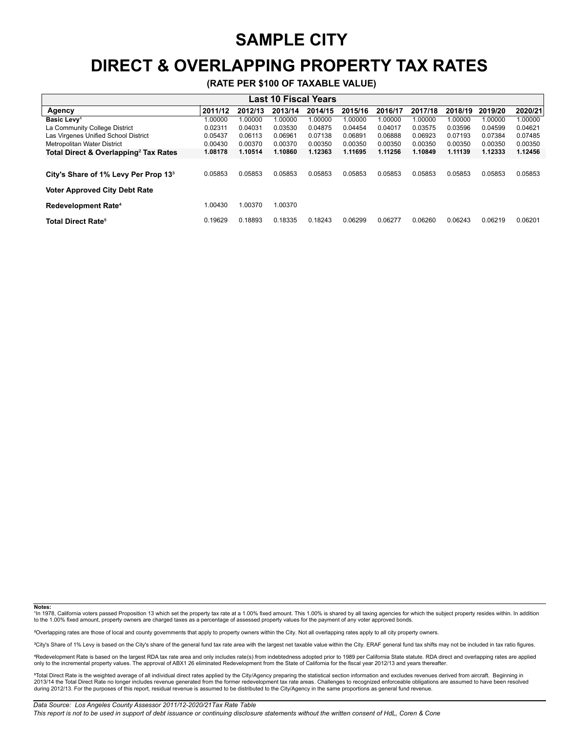### **DIRECT & OVERLAPPING PROPERTY TAX RATES**

**(RATE PER \$100 OF TAXABLE VALUE)**

| <b>Last 10 Fiscal Years</b>                       |         |         |         |         |         |         |         |         |         |         |
|---------------------------------------------------|---------|---------|---------|---------|---------|---------|---------|---------|---------|---------|
| Agency                                            | 2011/12 | 2012/13 | 2013/14 | 2014/15 | 2015/16 | 2016/17 | 2017/18 | 2018/19 | 2019/20 | 2020/21 |
| Basic Levy <sup>1</sup>                           | 1.00000 | 1.00000 | 1.00000 | 1.00000 | 1.00000 | 1.00000 | 1.00000 | 1.00000 | 1.00000 | 1.00000 |
| La Community College District                     | 0.02311 | 0.04031 | 0.03530 | 0.04875 | 0.04454 | 0.04017 | 0.03575 | 0.03596 | 0.04599 | 0.04621 |
| Las Virgenes Unified School District              | 0.05437 | 0.06113 | 0.06961 | 0.07138 | 0.06891 | 0.06888 | 0.06923 | 0.07193 | 0.07384 | 0.07485 |
| Metropolitan Water District                       | 0.00430 | 0.00370 | 0.00370 | 0.00350 | 0.00350 | 0.00350 | 0.00350 | 0.00350 | 0.00350 | 0.00350 |
| Total Direct & Overlapping <sup>2</sup> Tax Rates | 1.08178 | 1.10514 | 1.10860 | 1.12363 | 1.11695 | 1.11256 | 1.10849 | 1.11139 | 1.12333 | 1.12456 |
|                                                   |         |         |         |         |         |         |         |         |         |         |
| City's Share of 1% Levy Per Prop 13 <sup>3</sup>  | 0.05853 | 0.05853 | 0.05853 | 0.05853 | 0.05853 | 0.05853 | 0.05853 | 0.05853 | 0.05853 | 0.05853 |
| <b>Voter Approved City Debt Rate</b>              |         |         |         |         |         |         |         |         |         |         |
| <b>Redevelopment Rate<sup>4</sup></b>             | 1.00430 | 1.00370 | 1.00370 |         |         |         |         |         |         |         |
| <b>Total Direct Rate<sup>5</sup></b>              | 0.19629 | 0.18893 | 0.18335 | 0.18243 | 0.06299 | 0.06277 | 0.06260 | 0.06243 | 0.06219 | 0.06201 |

**Notes:**

1In 1978, California voters passed Proposition 13 which set the property tax rate at a 1.00% fixed amount. This 1.00% is shared by all taxing agencies for which the subject property resides within. In addition to the 1.00% fixed amount, property owners are charged taxes as a percentage of assessed property values for the payment of any voter approved bonds.

²Overlapping rates are those of local and county governments that apply to property owners within the City. Not all overlapping rates apply to all city property owners.

<sup>3</sup>City's Share of 1% Levy is based on the City's share of the general fund tax rate area with the largest net taxable value within the City. ERAF general fund tax shifts may not be included in tax ratio figures.

"Redevelopment Rate is based on the largest RDA tax rate area and only includes rate(s) from indebtedness adopted prior to 1989 per California State statute. RDA direct and overlapping rates are applied<br>only to the increme

°Total Direct Rate is the weighted average of all individual direct rates applied by the City/Agency preparing the statistical section information and excludes revenues derived from aircraft. Beginning in<br>2013/14 the Tot during 2012/13. For the purposes of this report, residual revenue is assumed to be distributed to the City/Agency in the same proportions as general fund revenue.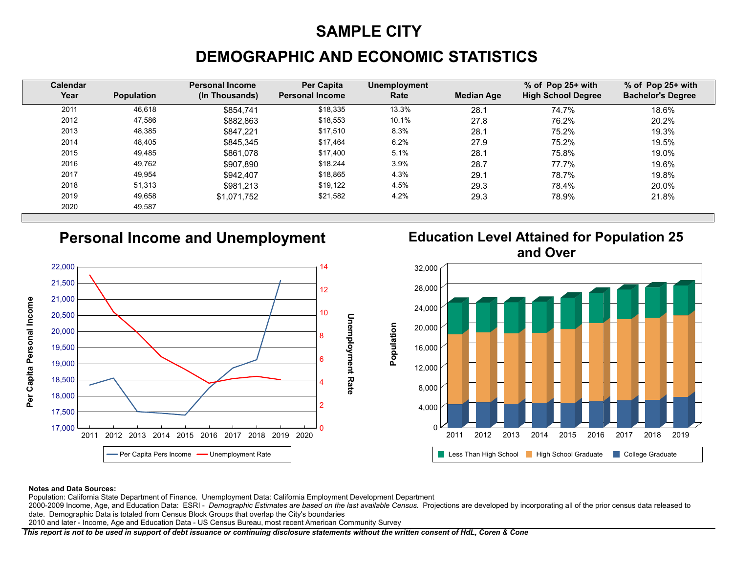## **DEMOGRAPHIC AND ECONOMIC STATISTICS**

| <b>Calendar</b><br>Year | <b>Population</b> | <b>Personal Income</b><br>(In Thousands) | <b>Per Capita</b><br><b>Personal Income</b> | <b>Unemployment</b><br>Rate | <b>Median Age</b> | $%$ of Pop 25+ with<br><b>High School Degree</b> | % of Pop 25+ with<br><b>Bachelor's Degree</b> |
|-------------------------|-------------------|------------------------------------------|---------------------------------------------|-----------------------------|-------------------|--------------------------------------------------|-----------------------------------------------|
| 2011                    | 46,618            | \$854.741                                | \$18,335                                    | 13.3%                       | 28.1              | 74.7%                                            | 18.6%                                         |
| 2012                    | 47.586            | \$882.863                                | \$18,553                                    | 10.1%                       | 27.8              | 76.2%                                            | 20.2%                                         |
| 2013                    | 48.385            | \$847.221                                | \$17.510                                    | 8.3%                        | 28.1              | 75.2%                                            | 19.3%                                         |
| 2014                    | 48,405            | \$845.345                                | \$17.464                                    | 6.2%                        | 27.9              | 75.2%                                            | 19.5%                                         |
| 2015                    | 49,485            | \$861.078                                | \$17.400                                    | 5.1%                        | 28.1              | 75.8%                                            | 19.0%                                         |
| 2016                    | 49,762            | \$907.890                                | \$18,244                                    | 3.9%                        | 28.7              | 77.7%                                            | 19.6%                                         |
| 2017                    | 49,954            | \$942.407                                | \$18,865                                    | 4.3%                        | 29.1              | 78.7%                                            | 19.8%                                         |
| 2018                    | 51,313            | \$981.213                                | \$19,122                                    | 4.5%                        | 29.3              | 78.4%                                            | 20.0%                                         |
| 2019                    | 49,658            | \$1.071.752                              | \$21,582                                    | 4.2%                        | 29.3              | 78.9%                                            | 21.8%                                         |
| 2020                    | 49,587            |                                          |                                             |                             |                   |                                                  |                                               |

Population

#### **Personal Income and Unemployment**







#### **Notes and Data Sources:**

Population: California State Department of Finance. Unemployment Data: California Employment Development Department

2000-2009 Income, Age, and Education Data: ESRI - *Demographic Estimates are based on the last available Census*. Projections are developed by incorporating all of the prior census data released to date. Demographic Data is totaled from Census Block Groups that overlap the City's boundaries

2010 and later - Income, Age and Education Data - US Census Bureau, most recent American Community Survey

*This report is not to be used in support of debt issuance or continuing disclosure statements without the written consent of HdL, Coren & Cone*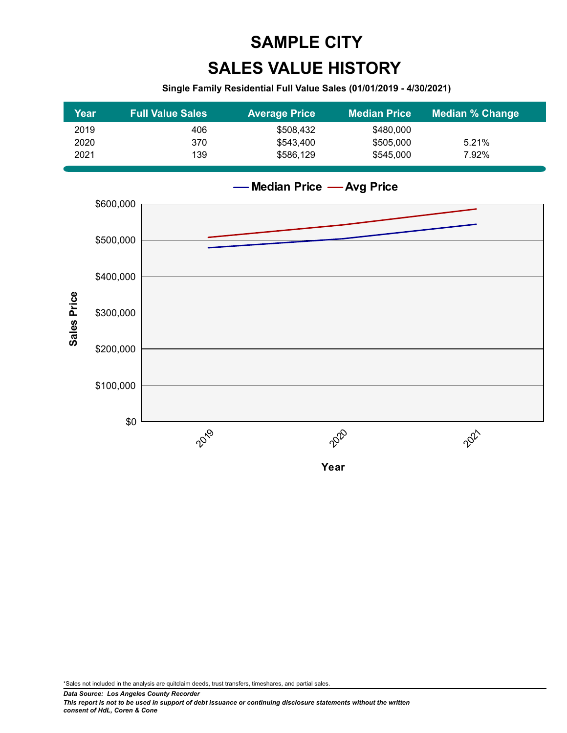# **SALES VALUE HISTORY SAMPLE CITY**

#### **Single Family Residential Full Value Sales (01/01/2019 - 4/30/2021)**

| Year | <b>Full Value Sales</b> | <b>Average Price</b> | <b>Median Price</b> | <b>Median % Change</b> |
|------|-------------------------|----------------------|---------------------|------------------------|
| 2019 | 406                     | \$508.432            | \$480,000           |                        |
| 2020 | 370                     | \$543,400            | \$505,000           | 5.21%                  |
| 2021 | 139                     | \$586.129            | \$545,000           | 7.92%                  |



**Median Price Avg Price**

**Year**

\*Sales not included in the analysis are quitclaim deeds, trust transfers, timeshares, and partial sales.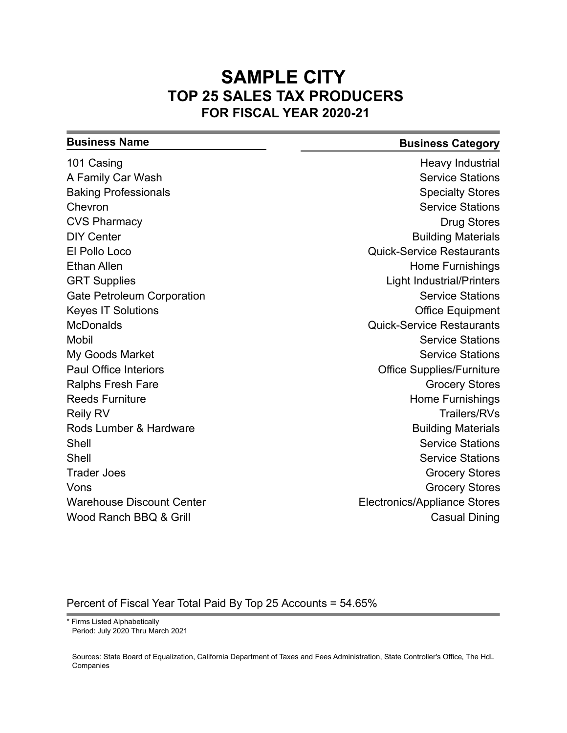#### **SAMPLE CITY TOP 25 SALES TAX PRODUCERS FOR FISCAL YEAR 2020-21**

| <b>Business Name</b>              | <b>Business Category</b>            |
|-----------------------------------|-------------------------------------|
| 101 Casing                        | Heavy Industrial                    |
| A Family Car Wash                 | <b>Service Stations</b>             |
| <b>Baking Professionals</b>       | <b>Specialty Stores</b>             |
| Chevron                           | <b>Service Stations</b>             |
| <b>CVS Pharmacy</b>               | <b>Drug Stores</b>                  |
| <b>DIY Center</b>                 | <b>Building Materials</b>           |
| El Pollo Loco                     | <b>Quick-Service Restaurants</b>    |
| <b>Ethan Allen</b>                | Home Furnishings                    |
| <b>GRT Supplies</b>               | <b>Light Industrial/Printers</b>    |
| <b>Gate Petroleum Corporation</b> | <b>Service Stations</b>             |
| <b>Keyes IT Solutions</b>         | <b>Office Equipment</b>             |
| <b>McDonalds</b>                  | <b>Quick-Service Restaurants</b>    |
| <b>Mobil</b>                      | <b>Service Stations</b>             |
| My Goods Market                   | <b>Service Stations</b>             |
| <b>Paul Office Interiors</b>      | <b>Office Supplies/Furniture</b>    |
| <b>Ralphs Fresh Fare</b>          | <b>Grocery Stores</b>               |
| <b>Reeds Furniture</b>            | <b>Home Furnishings</b>             |
| <b>Reily RV</b>                   | <b>Trailers/RVs</b>                 |
| Rods Lumber & Hardware            | <b>Building Materials</b>           |
| Shell                             | <b>Service Stations</b>             |
| Shell                             | <b>Service Stations</b>             |
| <b>Trader Joes</b>                | <b>Grocery Stores</b>               |
| Vons                              | <b>Grocery Stores</b>               |
| <b>Warehouse Discount Center</b>  | <b>Electronics/Appliance Stores</b> |
| Wood Ranch BBQ & Grill            | <b>Casual Dining</b>                |

#### Percent of Fiscal Year Total Paid By Top 25 Accounts = 54.65%

Period: July 2020 Thru March 2021

<sup>\*</sup> Firms Listed Alphabetically

Sources: State Board of Equalization, California Department of Taxes and Fees Administration, State Controller's Office, The HdL Companies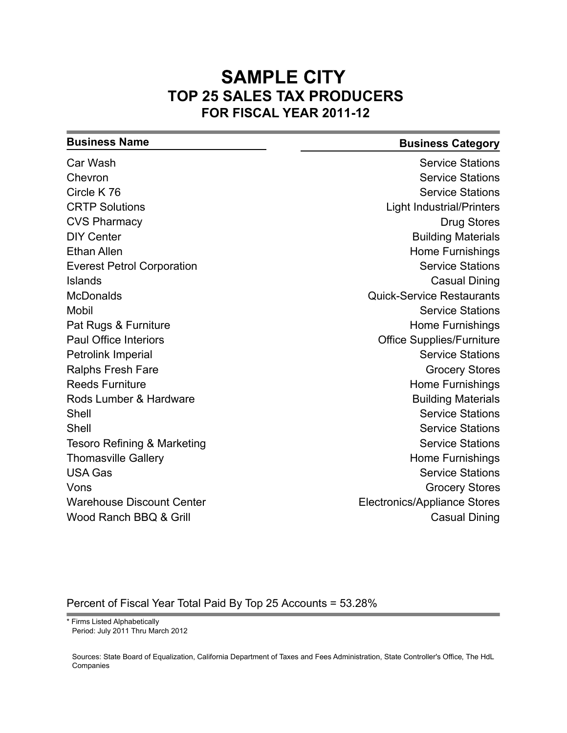#### **SAMPLE CITY TOP 25 SALES TAX PRODUCERS FOR FISCAL YEAR 2011-12**

#### **Business Name Business Category**

| Car Wash                          | <b>Service Stations</b>             |
|-----------------------------------|-------------------------------------|
| Chevron                           | <b>Service Stations</b>             |
| Circle K 76                       | <b>Service Stations</b>             |
| <b>CRTP Solutions</b>             | <b>Light Industrial/Printers</b>    |
| <b>CVS Pharmacy</b>               | <b>Drug Stores</b>                  |
| <b>DIY Center</b>                 | <b>Building Materials</b>           |
| <b>Ethan Allen</b>                | Home Furnishings                    |
| <b>Everest Petrol Corporation</b> | <b>Service Stations</b>             |
| <b>Islands</b>                    | <b>Casual Dining</b>                |
| <b>McDonalds</b>                  | <b>Quick-Service Restaurants</b>    |
| <b>Mobil</b>                      | <b>Service Stations</b>             |
| Pat Rugs & Furniture              | <b>Home Furnishings</b>             |
| <b>Paul Office Interiors</b>      | <b>Office Supplies/Furniture</b>    |
| Petrolink Imperial                | <b>Service Stations</b>             |
| <b>Ralphs Fresh Fare</b>          | <b>Grocery Stores</b>               |
| <b>Reeds Furniture</b>            | <b>Home Furnishings</b>             |
| Rods Lumber & Hardware            | <b>Building Materials</b>           |
| Shell                             | <b>Service Stations</b>             |
| Shell                             | <b>Service Stations</b>             |
| Tesoro Refining & Marketing       | <b>Service Stations</b>             |
| <b>Thomasville Gallery</b>        | <b>Home Furnishings</b>             |
| <b>USA Gas</b>                    | <b>Service Stations</b>             |
| Vons                              | <b>Grocery Stores</b>               |
| <b>Warehouse Discount Center</b>  | <b>Electronics/Appliance Stores</b> |
| Wood Ranch BBQ & Grill            | <b>Casual Dining</b>                |
|                                   |                                     |

#### Percent of Fiscal Year Total Paid By Top 25 Accounts = 53.28%

Period: July 2011 Thru March 2012

Sources: State Board of Equalization, California Department of Taxes and Fees Administration, State Controller's Office, The HdL Companies

<sup>\*</sup> Firms Listed Alphabetically